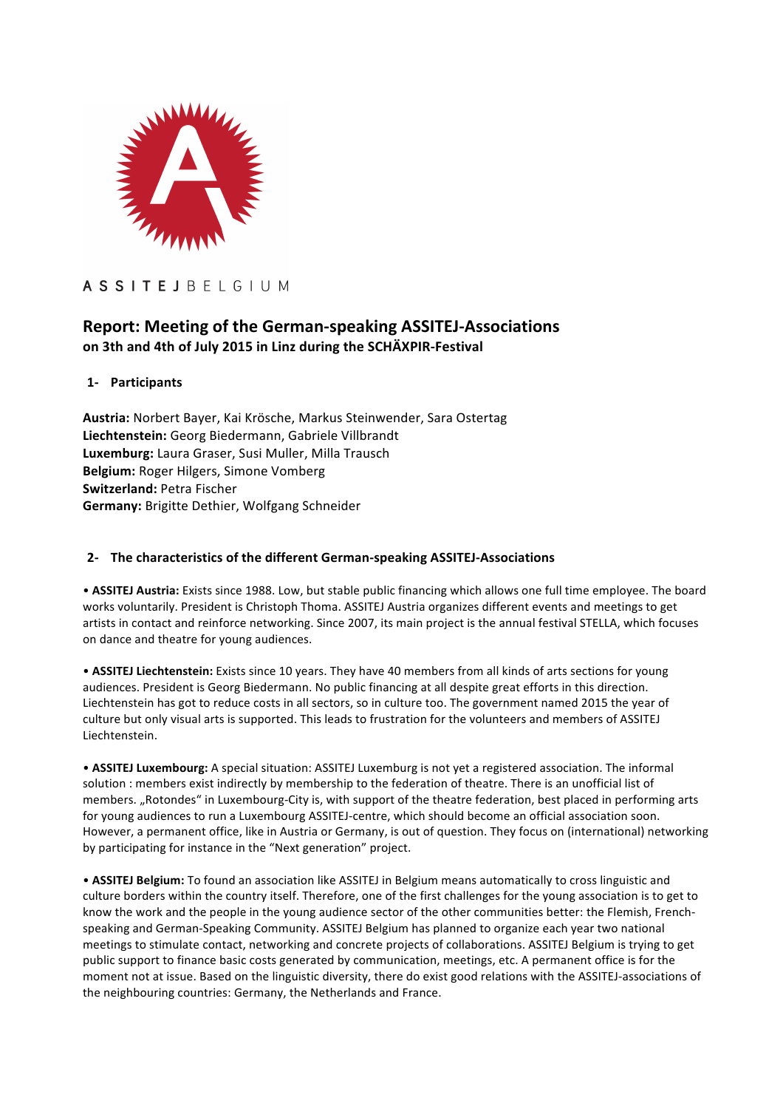

# **ASSITEJBELGIUM**

## **Report: Meeting of the German-speaking ASSITEJ-Associations on 3th and 4th of July 2015 in Linz during the SCHÄXPIR-Festival**

## **1- Participants**

**Austria:** Norbert Bayer, Kai Krösche, Markus Steinwender, Sara Ostertag Liechtenstein: Georg Biedermann, Gabriele Villbrandt Luxemburg: Laura Graser, Susi Muller, Milla Trausch **Belgium:** Roger Hilgers, Simone Vomberg **Switzerland: Petra Fischer Germany:** Brigitte Dethier, Wolfgang Schneider

## **2- The characteristics of the different German-speaking ASSITEJ-Associations**

• **ASSITEJ Austria:** Exists since 1988. Low, but stable public financing which allows one full time employee. The board works voluntarily. President is Christoph Thoma. ASSITEJ Austria organizes different events and meetings to get artists in contact and reinforce networking. Since 2007, its main project is the annual festival STELLA, which focuses on dance and theatre for young audiences.

• **ASSITEJ Liechtenstein:** Exists since 10 years. They have 40 members from all kinds of arts sections for young audiences. President is Georg Biedermann. No public financing at all despite great efforts in this direction. Liechtenstein has got to reduce costs in all sectors, so in culture too. The government named 2015 the year of culture but only visual arts is supported. This leads to frustration for the volunteers and members of ASSITEJ Liechtenstein.

• ASSITEJ Luxembourg: A special situation: ASSITEJ Luxemburg is not yet a registered association. The informal solution : members exist indirectly by membership to the federation of theatre. There is an unofficial list of members. "Rotondes" in Luxembourg-City is, with support of the theatre federation, best placed in performing arts for young audiences to run a Luxembourg ASSITEJ-centre, which should become an official association soon. However, a permanent office, like in Austria or Germany, is out of question. They focus on (international) networking by participating for instance in the "Next generation" project.

• ASSITEJ Belgium: To found an association like ASSITEJ in Belgium means automatically to cross linguistic and culture borders within the country itself. Therefore, one of the first challenges for the young association is to get to know the work and the people in the young audience sector of the other communities better: the Flemish, Frenchspeaking and German-Speaking Community. ASSITEJ Belgium has planned to organize each year two national meetings to stimulate contact, networking and concrete projects of collaborations. ASSITEJ Belgium is trying to get public support to finance basic costs generated by communication, meetings, etc. A permanent office is for the moment not at issue. Based on the linguistic diversity, there do exist good relations with the ASSITEJ-associations of the neighbouring countries: Germany, the Netherlands and France.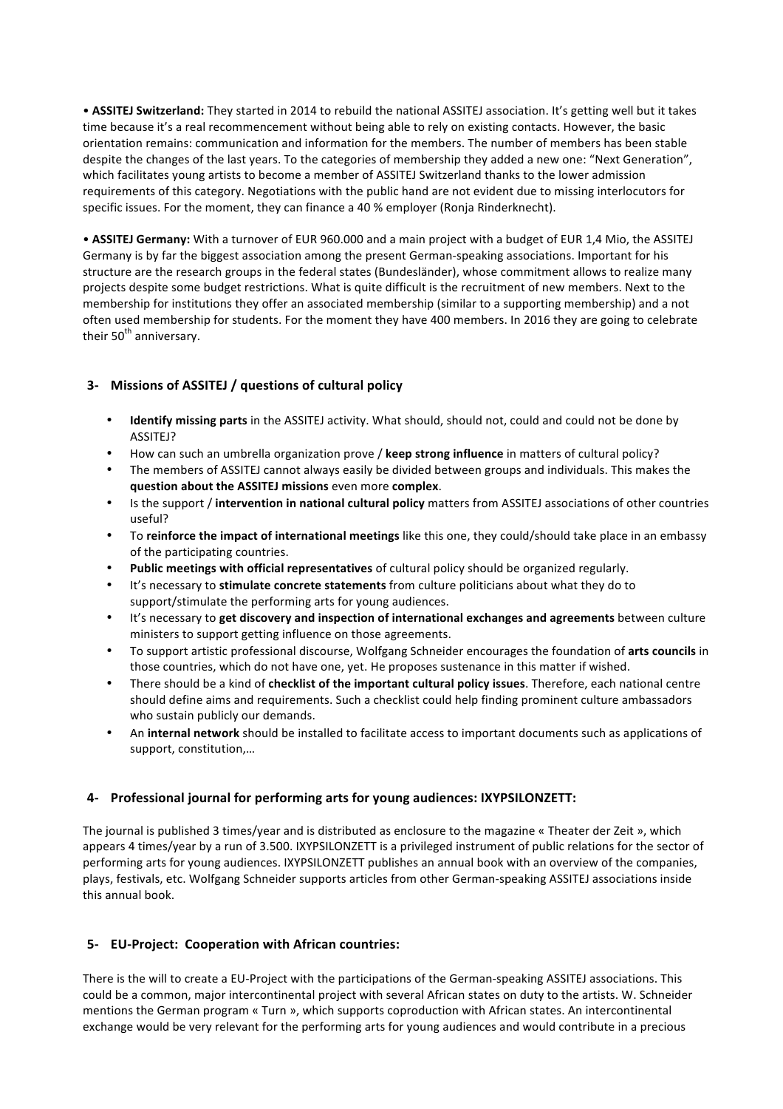• **ASSITEJ Switzerland:** They started in 2014 to rebuild the national ASSITEJ association. It's getting well but it takes time because it's a real recommencement without being able to rely on existing contacts. However, the basic orientation remains: communication and information for the members. The number of members has been stable despite the changes of the last vears. To the categories of membership they added a new one: "Next Generation", which facilitates young artists to become a member of ASSITEJ Switzerland thanks to the lower admission requirements of this category. Negotiations with the public hand are not evident due to missing interlocutors for specific issues. For the moment, they can finance a 40 % employer (Ronja Rinderknecht).

• **ASSITEJ Germany:** With a turnover of EUR 960.000 and a main project with a budget of EUR 1,4 Mio, the ASSITEJ Germany is by far the biggest association among the present German-speaking associations. Important for his structure are the research groups in the federal states (Bundesländer), whose commitment allows to realize many projects despite some budget restrictions. What is quite difficult is the recruitment of new members. Next to the membership for institutions they offer an associated membership (similar to a supporting membership) and a not often used membership for students. For the moment they have 400 members. In 2016 they are going to celebrate their  $50<sup>th</sup>$  anniversary.

## **3- Missions of ASSITEJ / questions of cultural policy**

- **Identify missing parts** in the ASSITEJ activity. What should, should not, could and could not be done by ASSITEJ?
- How can such an umbrella organization prove / **keep strong influence** in matters of cultural policy?
- The members of ASSITEJ cannot always easily be divided between groups and individuals. This makes the **question about the ASSITEJ missions** even more **complex**.
- Is the support / **intervention in national cultural policy** matters from ASSITEJ associations of other countries useful?
- To reinforce the impact of international meetings like this one, they could/should take place in an embassy of the participating countries.
- Public meetings with official representatives of cultural policy should be organized regularly.
- It's necessary to **stimulate concrete statements** from culture politicians about what they do to support/stimulate the performing arts for young audiences.
- It's necessary to get discovery and inspection of international exchanges and agreements between culture ministers to support getting influence on those agreements.
- To support artistic professional discourse, Wolfgang Schneider encourages the foundation of **arts councils** in those countries, which do not have one, yet. He proposes sustenance in this matter if wished.
- There should be a kind of **checklist of the important cultural policy issues**. Therefore, each national centre should define aims and requirements. Such a checklist could help finding prominent culture ambassadors who sustain publicly our demands.
- An **internal network** should be installed to facilitate access to important documents such as applications of support, constitution,...

### **4-** Professional journal for performing arts for young audiences: IXYPSILONZETT:

The journal is published 3 times/year and is distributed as enclosure to the magazine « Theater der Zeit », which appears 4 times/year by a run of 3.500. IXYPSILONZETT is a privileged instrument of public relations for the sector of performing arts for young audiences. IXYPSILONZETT publishes an annual book with an overview of the companies, plays, festivals, etc. Wolfgang Schneider supports articles from other German-speaking ASSITEJ associations inside this annual book.

### **5- EU-Project: Cooperation with African countries:**

There is the will to create a EU-Project with the participations of the German-speaking ASSITEJ associations. This could be a common, major intercontinental project with several African states on duty to the artists. W. Schneider mentions the German program « Turn », which supports coproduction with African states. An intercontinental exchange would be very relevant for the performing arts for young audiences and would contribute in a precious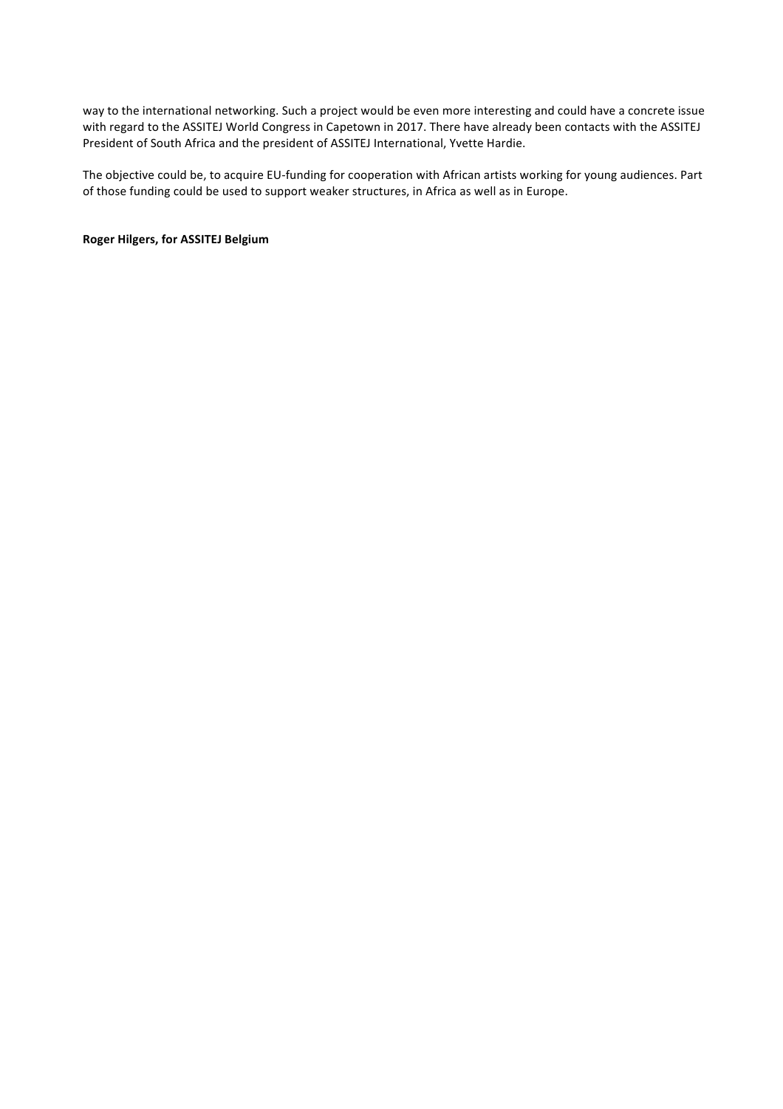way to the international networking. Such a project would be even more interesting and could have a concrete issue with regard to the ASSITEJ World Congress in Capetown in 2017. There have already been contacts with the ASSITEJ President of South Africa and the president of ASSITEJ International, Yvette Hardie.

The objective could be, to acquire EU-funding for cooperation with African artists working for young audiences. Part of those funding could be used to support weaker structures, in Africa as well as in Europe.

**Roger Hilgers, for ASSITEJ Belgium**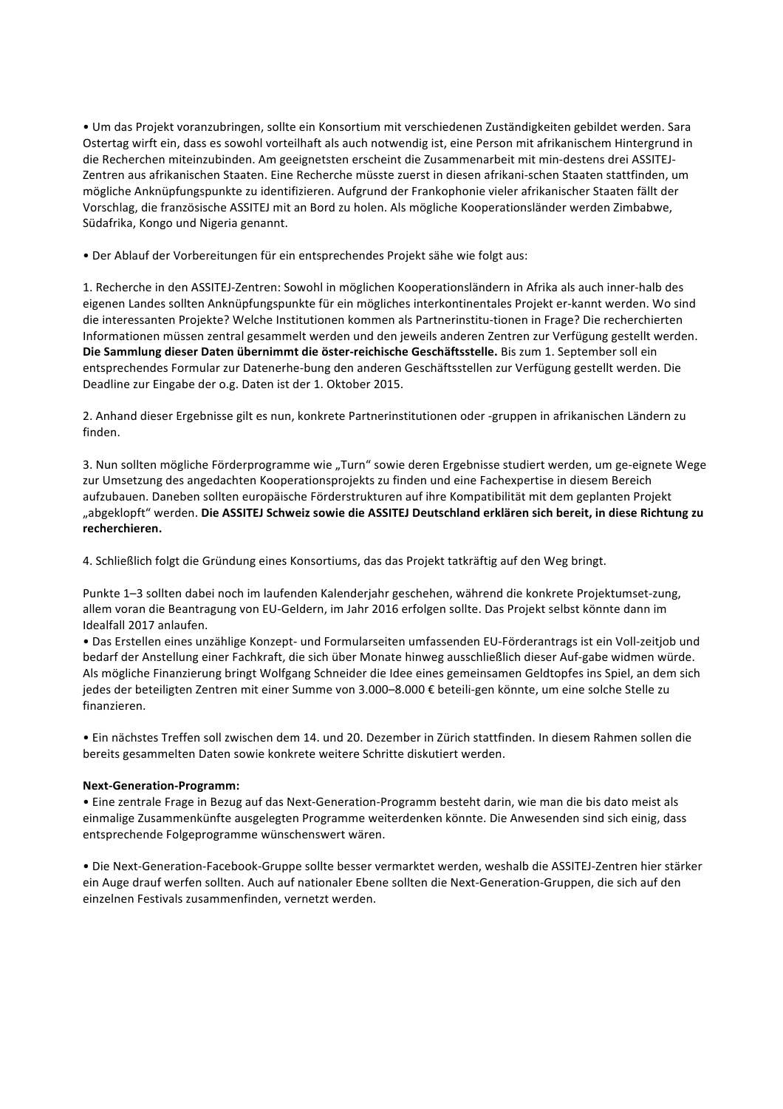• Um das Projekt voranzubringen, sollte ein Konsortium mit verschiedenen Zuständigkeiten gebildet werden. Sara Ostertag wirft ein, dass es sowohl vorteilhaft als auch notwendig ist, eine Person mit afrikanischem Hintergrund in die Recherchen miteinzubinden. Am geeignetsten erscheint die Zusammenarbeit mit min-destens drei ASSITEJ-Zentren aus afrikanischen Staaten. Eine Recherche müsste zuerst in diesen afrikani-schen Staaten stattfinden, um mögliche Anknüpfungspunkte zu identifizieren. Aufgrund der Frankophonie vieler afrikanischer Staaten fällt der Vorschlag, die französische ASSITEJ mit an Bord zu holen. Als mögliche Kooperationsländer werden Zimbabwe, Südafrika, Kongo und Nigeria genannt.

• Der Ablauf der Vorbereitungen für ein entsprechendes Projekt sähe wie folgt aus:

1. Recherche in den ASSITEJ-Zentren: Sowohl in möglichen Kooperationsländern in Afrika als auch inner-halb des eigenen Landes sollten Anknüpfungspunkte für ein mögliches interkontinentales Projekt er-kannt werden. Wo sind die interessanten Projekte? Welche Institutionen kommen als Partnerinstitu-tionen in Frage? Die recherchierten Informationen müssen zentral gesammelt werden und den jeweils anderen Zentren zur Verfügung gestellt werden. Die Sammlung dieser Daten übernimmt die öster-reichische Geschäftsstelle. Bis zum 1. September soll ein entsprechendes Formular zur Datenerhe-bung den anderen Geschäftsstellen zur Verfügung gestellt werden. Die Deadline zur Eingabe der o.g. Daten ist der 1. Oktober 2015.

2. Anhand dieser Ergebnisse gilt es nun, konkrete Partnerinstitutionen oder -gruppen in afrikanischen Ländern zu finden. 

3. Nun sollten mögliche Förderprogramme wie "Turn" sowie deren Ergebnisse studiert werden, um ge-eignete Wege zur Umsetzung des angedachten Kooperationsprojekts zu finden und eine Fachexpertise in diesem Bereich aufzubauen. Daneben sollten europäische Förderstrukturen auf ihre Kompatibilität mit dem geplanten Projekt "abgeklopft" werden. Die ASSITEJ Schweiz sowie die ASSITEJ Deutschland erklären sich bereit, in diese Richtung zu **recherchieren.** 

4. Schließlich folgt die Gründung eines Konsortiums, das das Projekt tatkräftig auf den Weg bringt.

Punkte 1-3 sollten dabei noch im laufenden Kalenderjahr geschehen, während die konkrete Projektumset-zung, allem voran die Beantragung von EU-Geldern, im Jahr 2016 erfolgen sollte. Das Projekt selbst könnte dann im Idealfall 2017 anlaufen.

· Das Erstellen eines unzählige Konzept- und Formularseiten umfassenden EU-Förderantrags ist ein Voll-zeitjob und bedarf der Anstellung einer Fachkraft, die sich über Monate hinweg ausschließlich dieser Auf-gabe widmen würde. Als mögliche Finanzierung bringt Wolfgang Schneider die Idee eines gemeinsamen Geldtopfes ins Spiel, an dem sich jedes der beteiligten Zentren mit einer Summe von 3.000–8.000 € beteili-gen könnte, um eine solche Stelle zu finanzieren. 

• Ein nächstes Treffen soll zwischen dem 14. und 20. Dezember in Zürich stattfinden. In diesem Rahmen sollen die bereits gesammelten Daten sowie konkrete weitere Schritte diskutiert werden.

#### **Next-Generation-Programm:**

• Eine zentrale Frage in Bezug auf das Next-Generation-Programm besteht darin, wie man die bis dato meist als einmalige Zusammenkünfte ausgelegten Programme weiterdenken könnte. Die Anwesenden sind sich einig, dass entsprechende Folgeprogramme wünschenswert wären.

• Die Next-Generation-Facebook-Gruppe sollte besser vermarktet werden, weshalb die ASSITEJ-Zentren hier stärker ein Auge drauf werfen sollten. Auch auf nationaler Ebene sollten die Next-Generation-Gruppen, die sich auf den einzelnen Festivals zusammenfinden, vernetzt werden.